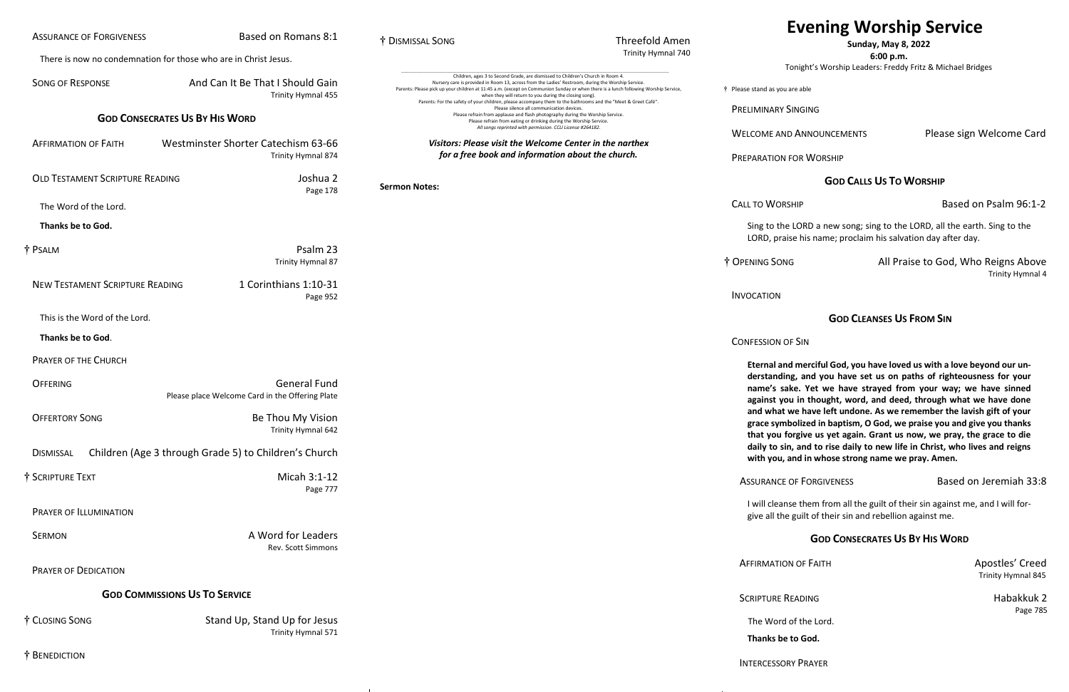In The Song All Praise to God, Who Reigns Above Trinity Hymnal 4

# **[Evening Worship Service](#page-0-0)**

### **Sunday, May 8, 2022**

#### **6:00 p.m.**

Tonight's Worship Leaders: Freddy Fritz & Michael Bridges

 $\overline{\phantom{a}}$  are able

**SINGING** 

VD ANNOUNCEMENTS Please sign Welcome Card

FOR WORSHIP

**AFFIRMATION OF FAITH APOSTLES' Creed** Trinity Hymnal 845

READING **READING READING** Page 785

#### **GOD CALLS US TO WORSHIP**

I of the Lord.

to God.

Example 3 and the Based on Psalm 96:1-2

**INTER** 

In LORD a new song; sing to the LORD, all the earth. Sing to the ise his name; proclaim his salvation day after day.

#### **GOD CLEANSES US FROM SIN**

OF SIN

**Ind merciful God, you have loved us with a love beyond our understanding, and you have set us on paths of righteousness for your**  ake. Yet we have strayed from your way; we have sinned **again in thought, word, and deed, through what we have done** we have left undone. As we remember the lavish gift of your **grace symbolized in baptism, O God, we praise you and give you thanks**  forgive us yet again. Grant us now, we pray, the grace to die **daily to sin, and to rise daily to new life in Christ, who lives and reigns**  and in whose strong name we pray. Amen.

OF FORGIVENESS Based on Jeremiah 33:8

I ise them from all the guilt of their sin against me, and I will fore guilt of their sin and rebellion against me.

<span id="page-0-0"></span>

| <b>ASSURANCE OF FORGIVENESS</b>        | Based on Romans 8:1                                                    | † DISMISSAL SONG     | <b>Threefold Amen</b>                                                                                                                                                                                                                                                                                                                                                                                           |
|----------------------------------------|------------------------------------------------------------------------|----------------------|-----------------------------------------------------------------------------------------------------------------------------------------------------------------------------------------------------------------------------------------------------------------------------------------------------------------------------------------------------------------------------------------------------------------|
|                                        | There is now no condemnation for those who are in Christ Jesus.        |                      | Trinity Hymnal 740                                                                                                                                                                                                                                                                                                                                                                                              |
| <b>SONG OF RESPONSE</b>                | And Can It Be That I Should Gain<br>Trinity Hymnal 455                 |                      | Children, ages 3 to Second Grade, are dismissed to Children's Church in Room 4.<br>Nursery care is provided in Room 13, across from the Ladies' Restroom, during the Worship Service.<br>† Please stand as you<br>Parents: Please pick up your children at 11:45 a.m. (except on Communion Sunday or when there is a lunch following Worship Service,<br>when they will return to you during the closing song). |
| <b>GOD CONSECRATES US BY HIS WORD</b>  |                                                                        |                      | Parents: For the safety of your children, please accompany them to the bathrooms and the "Meet & Greet Café".<br>PRELIMINARY<br>Please silence all communication devices.<br>Please refrain from applause and flash photography during the Worship Service.<br>Please refrain from eating or drinking during the Worship Service.<br>All songs reprinted with permission. CCLI License #264182.                 |
| <b>AFFIRMATION OF FAITH</b>            | Westminster Shorter Catechism 63-66<br>Trinity Hymnal 874              |                      | <b>WELCOME AN</b><br>Visitors: Please visit the Welcome Center in the narthex<br>for a free book and information about the church.<br>PREPARATION                                                                                                                                                                                                                                                               |
| <b>OLD TESTAMENT SCRIPTURE READING</b> | Joshua 2<br>Page 178                                                   | <b>Sermon Notes:</b> |                                                                                                                                                                                                                                                                                                                                                                                                                 |
| The Word of the Lord.                  |                                                                        |                      | <b>CALL TO WOR</b>                                                                                                                                                                                                                                                                                                                                                                                              |
| Thanks be to God.                      |                                                                        |                      | Sing to the                                                                                                                                                                                                                                                                                                                                                                                                     |
| † PSALM                                | Psalm 23<br>Trinity Hymnal 87                                          |                      | LORD, pra<br>† OPENING SON                                                                                                                                                                                                                                                                                                                                                                                      |
| <b>NEW TESTAMENT SCRIPTURE READING</b> | 1 Corinthians 1:10-31<br>Page 952                                      |                      | <b>INVOCATION</b>                                                                                                                                                                                                                                                                                                                                                                                               |
| This is the Word of the Lord.          |                                                                        |                      |                                                                                                                                                                                                                                                                                                                                                                                                                 |
| Thanks be to God.                      |                                                                        |                      | <b>CONFESSION C</b>                                                                                                                                                                                                                                                                                                                                                                                             |
| <b>PRAYER OF THE CHURCH</b>            |                                                                        |                      | <b>Eternal</b> an                                                                                                                                                                                                                                                                                                                                                                                               |
| <b>OFFERING</b>                        | <b>General Fund</b><br>Please place Welcome Card in the Offering Plate |                      | derstandi<br>name's sa<br>against yc                                                                                                                                                                                                                                                                                                                                                                            |
| <b>OFFERTORY SONG</b>                  | Be Thou My Vision<br>Trinity Hymnal 642                                |                      | and what<br>grace sym<br>that you f                                                                                                                                                                                                                                                                                                                                                                             |
| <b>DISMISSAL</b>                       | Children (Age 3 through Grade 5) to Children's Church                  |                      | daily to si<br>with you,                                                                                                                                                                                                                                                                                                                                                                                        |
| † SCRIPTURE TEXT                       | Micah 3:1-12<br>Page 777                                               |                      | <b>ASSURANCE</b>                                                                                                                                                                                                                                                                                                                                                                                                |
| PRAYER OF ILLUMINATION                 |                                                                        |                      | I will clean<br>give all the                                                                                                                                                                                                                                                                                                                                                                                    |
| <b>SERMON</b>                          | A Word for Leaders<br>Rev. Scott Simmons                               |                      |                                                                                                                                                                                                                                                                                                                                                                                                                 |
| PRAYER OF DEDICATION                   |                                                                        |                      | AFFIRMATIO                                                                                                                                                                                                                                                                                                                                                                                                      |
|                                        | <b>GOD COMMISSIONS US TO SERVICE</b>                                   |                      | <b>SCRIPTURE F</b>                                                                                                                                                                                                                                                                                                                                                                                              |
| † CLOSING SONG                         | Stand Up, Stand Up for Jesus                                           |                      | The Word                                                                                                                                                                                                                                                                                                                                                                                                        |
|                                        | Trinity Hymnal 571                                                     |                      | <b>Thanks be</b>                                                                                                                                                                                                                                                                                                                                                                                                |
| † BENEDICTION                          |                                                                        |                      | <b>INTERCESSO</b>                                                                                                                                                                                                                                                                                                                                                                                               |

 $-1$ 

#### **GOD CONSECRATES US BY HIS WORD**